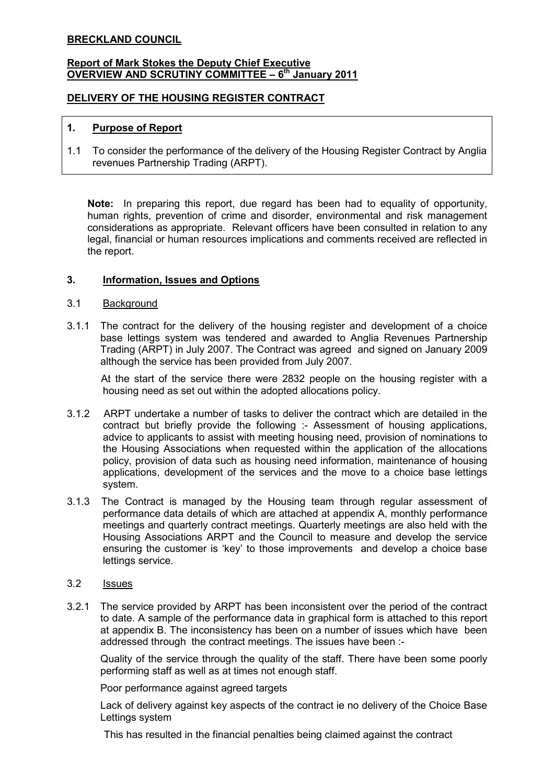# BRECKLAND COUNCIL

### Report of Mark Stokes the Deputy Chief Executive OVERVIEW AND SCRUTINY COMMITTEE  $-6<sup>th</sup>$  January 2011

## DELIVERY OF THE HOUSING REGISTER CONTRACT

# 1. Purpose of Report

1.1 To consider the performance of the delivery of the Housing Register Contract by Anglia revenues Partnership Trading (ARPT).

Note: In preparing this report, due regard has been had to equality of opportunity, human rights, prevention of crime and disorder, environmental and risk management considerations as appropriate. Relevant officers have been consulted in relation to any legal, financial or human resources implications and comments received are reflected in the report.

#### 3. Information, Issues and Options

#### 3.1 Background

3.1.1 The contract for the delivery of the housing register and development of a choice base lettings system was tendered and awarded to Anglia Revenues Partnership Trading (ARPT) in July 2007. The Contract was agreed and signed on January 2009 although the service has been provided from July 2007.

 At the start of the service there were 2832 people on the housing register with a housing need as set out within the adopted allocations policy.

- 3.1.2 ARPT undertake a number of tasks to deliver the contract which are detailed in the contract but briefly provide the following :- Assessment of housing applications, advice to applicants to assist with meeting housing need, provision of nominations to the Housing Associations when requested within the application of the allocations policy, provision of data such as housing need information, maintenance of housing applications, development of the services and the move to a choice base lettings system.
- 3.1.3 The Contract is managed by the Housing team through regular assessment of performance data details of which are attached at appendix A, monthly performance meetings and quarterly contract meetings. Quarterly meetings are also held with the Housing Associations ARPT and the Council to measure and develop the service ensuring the customer is 'key' to those improvements and develop a choice base lettings service.

#### 3.2 Issues

3.2.1 The service provided by ARPT has been inconsistent over the period of the contract to date. A sample of the performance data in graphical form is attached to this report at appendix B. The inconsistency has been on a number of issues which have been addressed through the contract meetings. The issues have been :-

Quality of the service through the quality of the staff. There have been some poorly performing staff as well as at times not enough staff.

Poor performance against agreed targets

Lack of delivery against key aspects of the contract ie no delivery of the Choice Base Lettings system

This has resulted in the financial penalties being claimed against the contract